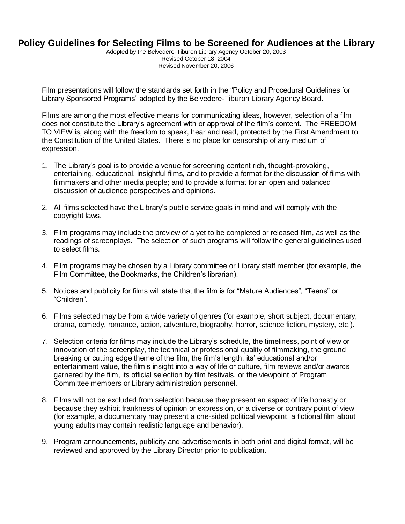## **Policy Guidelines for Selecting Films to be Screened for Audiences at the Library**

Adopted by the Belvedere-Tiburon Library Agency October 20, 2003 Revised October 18, 2004 Revised November 20, 2006

Film presentations will follow the standards set forth in the "Policy and Procedural Guidelines for Library Sponsored Programs" adopted by the Belvedere-Tiburon Library Agency Board.

Films are among the most effective means for communicating ideas, however, selection of a film does not constitute the Library's agreement with or approval of the film's content. The FREEDOM TO VIEW is, along with the freedom to speak, hear and read, protected by the First Amendment to the Constitution of the United States. There is no place for censorship of any medium of expression.

- 1. The Library's goal is to provide a venue for screening content rich, thought-provoking, entertaining, educational, insightful films, and to provide a format for the discussion of films with filmmakers and other media people; and to provide a format for an open and balanced discussion of audience perspectives and opinions.
- 2. All films selected have the Library's public service goals in mind and will comply with the copyright laws.
- 3. Film programs may include the preview of a yet to be completed or released film, as well as the readings of screenplays. The selection of such programs will follow the general guidelines used to select films.
- 4. Film programs may be chosen by a Library committee or Library staff member (for example, the Film Committee, the Bookmarks, the Children's librarian).
- 5. Notices and publicity for films will state that the film is for "Mature Audiences", "Teens" or "Children".
- 6. Films selected may be from a wide variety of genres (for example, short subject, documentary, drama, comedy, romance, action, adventure, biography, horror, science fiction, mystery, etc.).
- 7. Selection criteria for films may include the Library's schedule, the timeliness, point of view or innovation of the screenplay, the technical or professional quality of filmmaking, the ground breaking or cutting edge theme of the film, the film's length, its' educational and/or entertainment value, the film's insight into a way of life or culture, film reviews and/or awards garnered by the film, its official selection by film festivals, or the viewpoint of Program Committee members or Library administration personnel.
- 8. Films will not be excluded from selection because they present an aspect of life honestly or because they exhibit frankness of opinion or expression, or a diverse or contrary point of view (for example, a documentary may present a one-sided political viewpoint, a fictional film about young adults may contain realistic language and behavior).
- 9. Program announcements, publicity and advertisements in both print and digital format, will be reviewed and approved by the Library Director prior to publication.